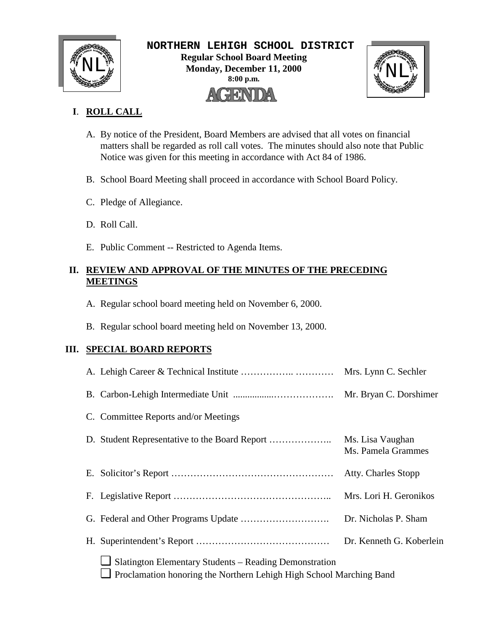

 **NORTHERN LEHIGH SCHOOL DISTRICT Regular School Board Meeting**  $\text{NLL}_{\text{M}}^{\text{M}}$  Regular School Board Meeting<br>Monday, December 11, 2000<br>8:00 p.m. **Monday, December 11, 2000 8:00 p.m.** AGENDA



## **I**. **ROLL CALL**

- A. By notice of the President, Board Members are advised that all votes on financial matters shall be regarded as roll call votes. The minutes should also note that Public Notice was given for this meeting in accordance with Act 84 of 1986.
- B. School Board Meeting shall proceed in accordance with School Board Policy.
- C. Pledge of Allegiance.
- D. Roll Call.
- E. Public Comment -- Restricted to Agenda Items.

## **II. REVIEW AND APPROVAL OF THE MINUTES OF THE PRECEDING MEETINGS**

- A. Regular school board meeting held on November 6, 2000.
- B. Regular school board meeting held on November 13, 2000.

## **III. SPECIAL BOARD REPORTS**

|                                                                                                                                      | Mrs. Lynn C. Sechler                   |
|--------------------------------------------------------------------------------------------------------------------------------------|----------------------------------------|
|                                                                                                                                      |                                        |
| C. Committee Reports and/or Meetings                                                                                                 |                                        |
|                                                                                                                                      | Ms. Lisa Vaughan<br>Ms. Pamela Grammes |
|                                                                                                                                      | <b>Atty. Charles Stopp</b>             |
|                                                                                                                                      | Mrs. Lori H. Geronikos                 |
|                                                                                                                                      | Dr. Nicholas P. Sham                   |
|                                                                                                                                      | Dr. Kenneth G. Koberlein               |
| Slatington Elementary Students – Reading Demonstration<br>$\Box$ Proclamation honoring the Northern Lehigh High School Marching Band |                                        |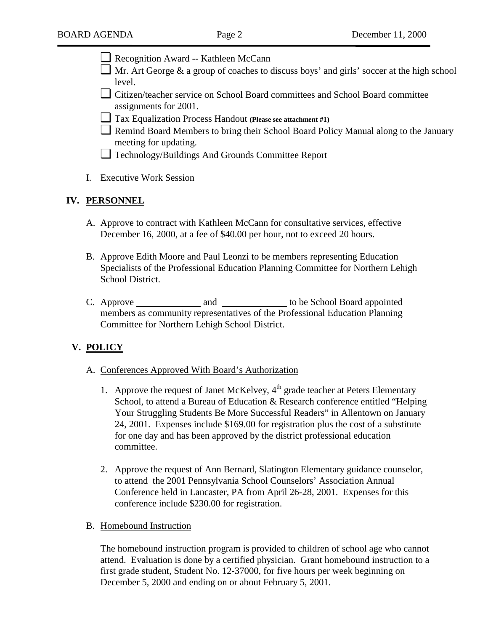- ❏ Recognition Award -- Kathleen McCann
- $\Box$  Mr. Art George & a group of coaches to discuss boys' and girls' soccer at the high school level.
- ❏ Citizen/teacher service on School Board committees and School Board committee assignments for 2001.
- ❏ Tax Equalization Process Handout **(Please see attachment #1)**
- ❏ Remind Board Members to bring their School Board Policy Manual along to the January meeting for updating.
- ❏ Technology/Buildings And Grounds Committee Report
- I. Executive Work Session

#### **IV. PERSONNEL**

- A. Approve to contract with Kathleen McCann for consultative services, effective December 16, 2000, at a fee of \$40.00 per hour, not to exceed 20 hours.
- B. Approve Edith Moore and Paul Leonzi to be members representing Education Specialists of the Professional Education Planning Committee for Northern Lehigh School District.
- C. Approve and and to be School Board appointed members as community representatives of the Professional Education Planning Committee for Northern Lehigh School District.

#### **V. POLICY**

- A. Conferences Approved With Board's Authorization
	- 1. Approve the request of Janet McKelvey, 4<sup>th</sup> grade teacher at Peters Elementary School, to attend a Bureau of Education & Research conference entitled "Helping Your Struggling Students Be More Successful Readers" in Allentown on January 24, 2001. Expenses include \$169.00 for registration plus the cost of a substitute for one day and has been approved by the district professional education committee.
	- 2. Approve the request of Ann Bernard, Slatington Elementary guidance counselor, to attend the 2001 Pennsylvania School Counselors' Association Annual Conference held in Lancaster, PA from April 26-28, 2001. Expenses for this conference include \$230.00 for registration.
- B. Homebound Instruction

The homebound instruction program is provided to children of school age who cannot attend. Evaluation is done by a certified physician. Grant homebound instruction to a first grade student, Student No. 12-37000, for five hours per week beginning on December 5, 2000 and ending on or about February 5, 2001.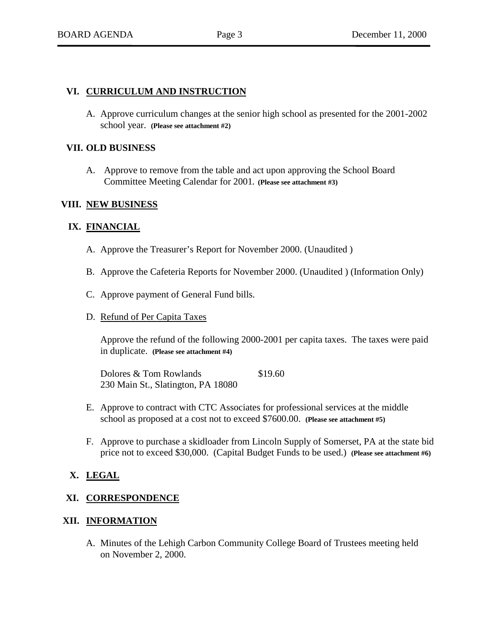#### **VI. CURRICULUM AND INSTRUCTION**

A. Approve curriculum changes at the senior high school as presented for the 2001-2002 school year. **(Please see attachment #2)**

#### **VII. OLD BUSINESS**

A. Approve to remove from the table and act upon approving the School Board Committee Meeting Calendar for 2001**. (Please see attachment #3)**

#### **VIII. NEW BUSINESS**

#### **IX. FINANCIAL**

- A. Approve the Treasurer's Report for November 2000. (Unaudited )
- B. Approve the Cafeteria Reports for November 2000. (Unaudited ) (Information Only)
- C. Approve payment of General Fund bills.
- D. Refund of Per Capita Taxes

Approve the refund of the following 2000-2001 per capita taxes. The taxes were paid in duplicate. **(Please see attachment #4)**

Dolores & Tom Rowlands \$19.60 230 Main St., Slatington, PA 18080

- E. Approve to contract with CTC Associates for professional services at the middle school as proposed at a cost not to exceed \$7600.00. **(Please see attachment #5)**
- F. Approve to purchase a skidloader from Lincoln Supply of Somerset, PA at the state bid price not to exceed \$30,000. (Capital Budget Funds to be used.) **(Please see attachment #6)**

#### **X. LEGAL**

#### **XI. CORRESPONDENCE**

#### **XII. INFORMATION**

A. Minutes of the Lehigh Carbon Community College Board of Trustees meeting held on November 2, 2000.